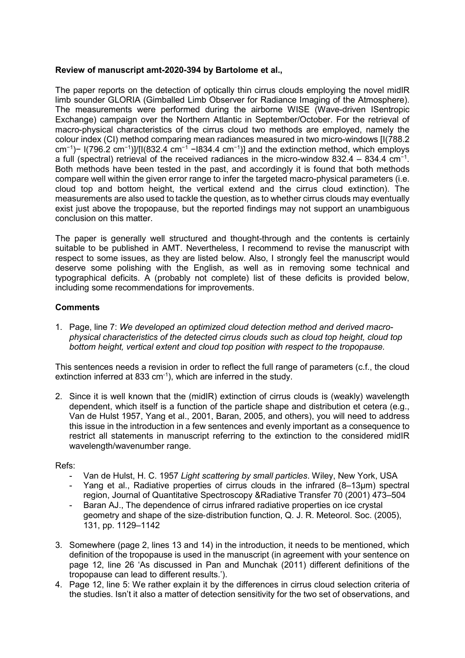## Review of manuscript amt-2020-394 by Bartolome et al.,

The paper reports on the detection of optically thin cirrus clouds employing the novel midIR limb sounder GLORIA (Gimballed Limb Observer for Radiance Imaging of the Atmosphere). The measurements were performed during the airborne WISE (Wave-driven ISentropic Exchange) campaign over the Northern Atlantic in September/October. For the retrieval of macro-physical characteristics of the cirrus cloud two methods are employed, namely the colour index (CI) method comparing mean radiances measured in two micro-windows [I(788.2 cm<sup>-1</sup>)− I(796.2 cm<sup>-1</sup>)]/[I(832.4 cm<sup>-1</sup> – 1834.4 cm<sup>-1</sup>)] and the extinction method, which employs a full (spectral) retrieval of the received radiances in the micro-window 832.4 – 834.4 cm<sup>-1</sup>. Both methods have been tested in the past, and accordingly it is found that both methods compare well within the given error range to infer the targeted macro-physical parameters (i.e. cloud top and bottom height, the vertical extend and the cirrus cloud extinction). The measurements are also used to tackle the question, as to whether cirrus clouds may eventually exist just above the tropopause, but the reported findings may not support an unambiguous conclusion on this matter.

The paper is generally well structured and thought-through and the contents is certainly suitable to be published in AMT. Nevertheless, I recommend to revise the manuscript with respect to some issues, as they are listed below. Also, I strongly feel the manuscript would deserve some polishing with the English, as well as in removing some technical and typographical deficits. A (probably not complete) list of these deficits is provided below, including some recommendations for improvements.

## **Comments**

1. Page, line 7: We developed an optimized cloud detection method and derived macrophysical characteristics of the detected cirrus clouds such as cloud top height, cloud top bottom height, vertical extent and cloud top position with respect to the tropopause.

This sentences needs a revision in order to reflect the full range of parameters (c.f., the cloud extinction inferred at 833 cm<sup>-1</sup>), which are inferred in the study.

2. Since it is well known that the (midIR) extinction of cirrus clouds is (weakly) wavelength dependent, which itself is a function of the particle shape and distribution et cetera (e.g., Van de Hulst 1957, Yang et al., 2001, Baran, 2005, and others), you will need to address this issue in the introduction in a few sentences and evenly important as a consequence to restrict all statements in manuscript referring to the extinction to the considered midIR wavelength/wavenumber range.

Refs:

- Van de Hulst, H. C. 1957 Light scattering by small particles. Wiley, New York, USA
- Yang et al., Radiative properties of cirrus clouds in the infrared (8–13μm) spectral region, Journal of Quantitative Spectroscopy &Radiative Transfer 70 (2001) 473–504
- Baran AJ., The dependence of cirrus infrared radiative properties on ice crystal geometry and shape of the size‐distribution function, Q. J. R. Meteorol. Soc. (2005), 131, pp. 1129–1142
- 3. Somewhere (page 2, lines 13 and 14) in the introduction, it needs to be mentioned, which definition of the tropopause is used in the manuscript (in agreement with your sentence on page 12, line 26 'As discussed in Pan and Munchak (2011) different definitions of the tropopause can lead to different results.').
- 4. Page 12, line 5: We rather explain it by the differences in cirrus cloud selection criteria of the studies. Isn't it also a matter of detection sensitivity for the two set of observations, and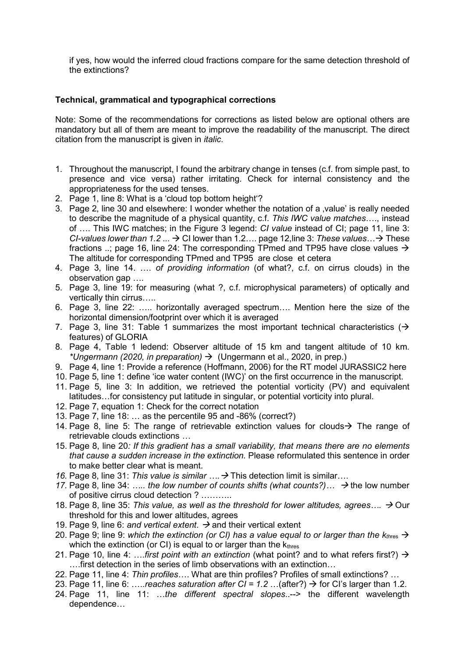if yes, how would the inferred cloud fractions compare for the same detection threshold of the extinctions?

## Technical, grammatical and typographical corrections

Note: Some of the recommendations for corrections as listed below are optional others are mandatory but all of them are meant to improve the readability of the manuscript. The direct citation from the manuscript is given in *italic*.

- 1. Throughout the manuscript, I found the arbitrary change in tenses (c.f. from simple past, to presence and vice versa) rather irritating. Check for internal consistency and the appropriateness for the used tenses.
- 2. Page 1, line 8: What is a 'cloud top bottom height'?
- 3. Page 2, line 30 and elsewhere: I wonder whether the notation of a 'value' is really needed to describe the magnitude of a physical quantity, c.f. This IWC value matches…., instead of …. This IWC matches; in the Figure 3 legend: CI value instead of CI; page 11, line 3: CI-values lower than 1.2 ...  $\rightarrow$  CI lower than 1.2... page 12, line 3: These values...  $\rightarrow$  These fractions ..; page 16, line 24: The corresponding TPmed and TP95 have close values  $\rightarrow$ The altitude for corresponding TPmed and TP95 are close et cetera
- 4. Page 3, line 14. …. of providing information (of what?, c.f. on cirrus clouds) in the observation gap ….
- 5. Page 3, line 19: for measuring (what ?, c.f. microphysical parameters) of optically and vertically thin cirrus…..
- 6. Page 3, line 22: ….. horizontally averaged spectrum…. Mention here the size of the horizontal dimension/footprint over which it is averaged
- 7. Page 3, line 31: Table 1 summarizes the most important technical characteristics  $($   $\rightarrow$ features) of GLORIA
- 8. Page 4, Table 1 ledend: Observer altitude of 15 km and tangent altitude of 10 km. \*Ungermann (2020, in preparation)  $\rightarrow$  (Ungermann et al., 2020, in prep.)
- 9. Page 4, line 1: Provide a reference (Hoffmann, 2006) for the RT model JURASSIC2 here
- 10. Page 5, line 1: define 'ice water content (IWC)' on the first occurrence in the manuscript.
- 11. Page 5, line 3: In addition, we retrieved the potential vorticity (PV) and equivalent latitudes…for consistency put latitude in singular, or potential vorticity into plural.
- 12. Page 7, equation 1: Check for the correct notation
- 13. Page 7, line 18: … as the percentile 95 and -86% (correct?)
- 14. Page 8. line 5: The range of retrievable extinction values for clouds  $\rightarrow$  The range of retrievable clouds extinctions …
- 15. Page 8, line 20: If this gradient has a small variability, that means there are no elements that cause a sudden increase in the extinction. Please reformulated this sentence in order to make better clear what is meant.
- 16. Page 8, line 31: This value is similar  $\ldots \rightarrow$  This detection limit is similar...
- 17. Page 8, line 34: ….. the low number of counts shifts (what counts?)...  $\rightarrow$  the low number of positive cirrus cloud detection ? ………..
- 18. Page 8, line 35: This value, as well as the threshold for lower altitudes, agrees...,  $\rightarrow$  Our threshold for this and lower altitudes, agrees
- 19. Page 9, line 6: and vertical extent.  $\rightarrow$  and their vertical extent
- 20. Page 9: line 9: which the extinction (or CI) has a value equal to or larger than the  $k_{thres} \rightarrow$ which the extinction (or CI) is equal to or larger than the  $k_{thres}$
- 21. Page 10, line 4: ....first point with an extinction (what point? and to what refers first?)  $\rightarrow$ ….first detection in the series of limb observations with an extinction…
- 22. Page 11, line 4: Thin profiles.... What are thin profiles? Profiles of small extinctions? ...
- 23. Page 11, line 6: .....reaches saturation after CI =  $1.2$  ...(after?)  $\rightarrow$  for CI's larger than 1.2.
- 24. Page 11, line 11: …the different spectral slopes..--> the different wavelength dependence…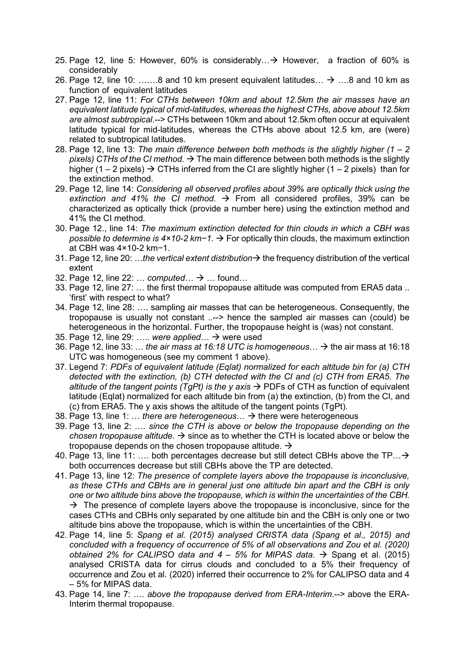- 25. Page 12, line 5: However, 60% is considerably...  $\rightarrow$  However, a fraction of 60% is considerably
- 26. Page 12, line 10: .......8 and 10 km present equivalent latitudes...  $\rightarrow$  ....8 and 10 km as function of equivalent latitudes
- 27. Page 12, line 11: For CTHs between 10km and about 12.5km the air masses have an equivalent latitude typical of mid-latitudes, whereas the highest CTHs, above about 12.5km are almost subtropical.--> CTHs between 10km and about 12.5km often occur at equivalent latitude typical for mid-latitudes, whereas the CTHs above about 12.5 km, are (were) related to subtropical latitudes.
- 28. Page 12, line 13: The main difference between both methods is the slightly higher  $(1 2)$ pixels) CTHs of the CI method.  $\rightarrow$  The main difference between both methods is the slightly higher (1 – 2 pixels)  $\rightarrow$  CTHs inferred from the CI are slightly higher (1 – 2 pixels) than for the extinction method.
- 29. Page 12, line 14: Considering all observed profiles about 39% are optically thick using the extinction and 41% the CI method.  $\rightarrow$  From all considered profiles, 39% can be characterized as optically thick (provide a number here) using the extinction method and 41% the CI method.
- 30. Page 12., line 14: The maximum extinction detected for thin clouds in which a CBH was possible to determine is  $4 \times 10$ -2 km−1.  $\rightarrow$  For optically thin clouds, the maximum extinction at CBH was 4×10-2 km−1.
- 31. Page 12, line 20: ...the vertical extent distribution  $\rightarrow$  the frequency distribution of the vertical extent
- 32. Page 12, line 22: ... computed  $\therefore \rightarrow \dots$  found...
- 33. Page 12, line 27: … the first thermal tropopause altitude was computed from ERA5 data .. 'first' with respect to what?
- 34. Page 12, line 28: …. sampling air masses that can be heterogeneous. Consequently, the tropopause is usually not constant ..--> hence the sampled air masses can (could) be heterogeneous in the horizontal. Further, the tropopause height is (was) not constant.
- 35. Page 12, line 29: ..... were applied...  $\rightarrow$  were used
- 36. Page 12, line 33: ... the air mass at 16:18 UTC is homogeneous...  $\rightarrow$  the air mass at 16:18 UTC was homogeneous (see my comment 1 above).
- 37. Legend 7: PDFs of equivalent latitude (Eqlat) normalized for each altitude bin for (a) CTH detected with the extinction, (b) CTH detected with the CI and (c) CTH from ERA5. The altitude of the tangent points (TgPt) is the y axis  $\rightarrow$  PDFs of CTH as function of equivalent latitude (Eqlat) normalized for each altitude bin from (a) the extinction, (b) from the CI, and (c) from ERA5. The y axis shows the altitude of the tangent points (TgPt).
- 38. Page 13, line 1: ... there are heterogeneous...  $\rightarrow$  there were heterogeneous
- 39. Page 13, line 2: …. since the CTH is above or below the tropopause depending on the chosen tropopause altitude.  $\rightarrow$  since as to whether the CTH is located above or below the tropopause depends on the chosen tropopause altitude.  $\rightarrow$
- 40. Page 13, line 11: ... both percentages decrease but still detect CBHs above the TP...  $\rightarrow$ both occurrences decrease but still CBHs above the TP are detected.
- 41. Page 13, line 12: The presence of complete layers above the tropopause is inconclusive, as these CTHs and CBHs are in general just one altitude bin apart and the CBH is only one or two altitude bins above the tropopause, which is within the uncertainties of the CBH.  $\rightarrow$  The presence of complete layers above the tropopause is inconclusive, since for the cases CTHs and CBHs only separated by one altitude bin and the CBH is only one or two altitude bins above the tropopause, which is within the uncertainties of the CBH.
- 42. Page 14, line 5: Spang et al. (2015) analysed CRISTA data (Spang et al., 2015) and concluded with a frequency of occurrence of 5% of all observations and Zou et al. (2020) obtained 2% for CALIPSO data and  $4 - 5%$  for MIPAS data.  $\rightarrow$  Spang et al. (2015) analysed CRISTA data for cirrus clouds and concluded to a 5% their frequency of occurrence and Zou et al. (2020) inferred their occurrence to 2% for CALIPSO data and 4 – 5% for MIPAS data.
- 43. Page 14, line 7: .... above the tropopause derived from ERA-Interim.--> above the ERA-Interim thermal tropopause.